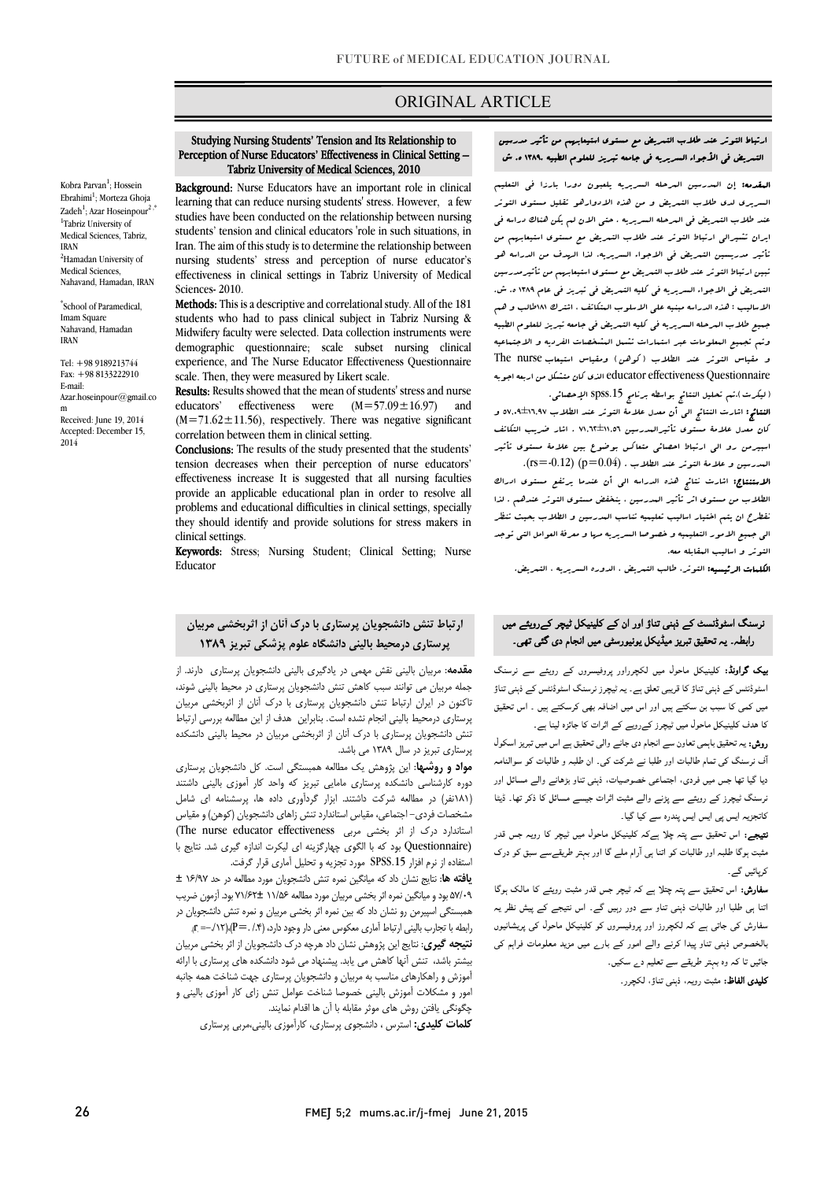## ORIGINAL ARTICLE

#### Perception of Nurse Educators' Effectiveness in Clinical Setting – Tabriz University of Medical Sciences, 2010 Studying Nursing Students' Tension and Its Relationship to

Ī

Kobra Parvan<sup>1</sup>; Hossein Ebrahimi<sup>1</sup>; Morteza Ghoja Zadeh<sup>1</sup>; Azar Hoseinpour<sup>2,\*</sup> <sup>1</sup>Tabriz University of Medical Sciences, Tabriz, IRAN <sup>2</sup>Hamadan University of Medical Sciences, Nahavand, Hamadan, IRAN

\* School of Paramedical, Imam Square Nahavand, Hamadan IRAN

Tel: +98 9189213744 Fax: +98 8133222910 E-mail: Azar.hoseinpour@gmail.co m

Received: June 19, 2014 Accepted: December 15, 2014

 Background: Nurse Educators have an important role in clinical studies have been conducted on the relationship between nursing students' tension and clinical educators 'role in such situations, in Iran. The aim of this study is to determine the relationship between effectiveness in clinical settings in Tabriz University of Medical learning that can reduce nursing students' stress. However, a few nursing students' stress and perception of nurse educator's Sciences- 2010.

students who had to pass clinical subject in Tabriz Nursing & Midwifery faculty were selected. Data collection instruments were demographic questionnaire; scale subset nursing clinical scale. Then, they were measured by Likert scale. Methods: This is a descriptive and correlational study. All of the 181 experience, and The Nurse Educator Effectiveness Questionnaire

 Results: Results showed that the mean of students' stress and nurse  $(M=71.62 \pm 11.56)$ , respectively. There was negative significant educators' effectiveness were  $(M=57.09 \pm 16.97)$  and correlation between them in clinical setting.

 Conclusions: The results of the study presented that the students' effectiveness increase It is suggested that all nursing faculties provide an applicable educational plan in order to resolve all problems and educational difficulties in clinical settings, specially tension decreases when their perception of nurse educators' they should identify and provide solutions for stress makers in clinical settings.

 Keywords: Stress; Nursing Student; Clinical Setting; Nurse Educator

# ارتباط تنش دانشجویان پرستاري با درك آنان از اثربخشی مربیان پرستاري درمحیط بالینی دانشگاه علوم پزشکی تبریز 1389

<mark>مقدمه</mark>: مربیان بالینی نقش مهمی در یادگیری بالینی دانشجویان پرستاری دارند. از تاکنون در ایران ارتباط تنش دانشجویان پرستاري با درك آنان از اثربخشی مربیان پرستاري درمحیط بالینی انجام نشده است. بنابراین هدف از این مطالعه بررسی ارتباط تنش دانشجویان پرستاري با درك آنان از اثربخشی مربیان در محیط بالینی دانشکده پرستار*ی* تبریز در سال ۱۳۸۹ می باشد.<br>. جمله مربیان می توانند سبب کاهش تنش دانشجویان پرستاري در محیط بالینی شوند،

 دوره کارشناسی دانشکده پرستاري مامایی تبریز که واحد کار آموزي بالینی داشتند (181نفر) در مطالعه شرکت داشتند. ابزار گردآوري داده ها، پرسشنامه اي شامل مشخصات فردي- اجتماعی، مقیاس استاندارد تنش زاهاي دانشجویان (کوهن) و مقیاس ستاندارد درک از اثر بخشی مربی (The nurse educator effectiveness)<br>درمان است .<br>ستفاده از نرم افزار SPSS.15 مورد تجزیه و تحلیل آماری قرار گرفت. مواد و روشها: این پژوهش یک مطالعه همبستگی است. کل دانشجویان پرستاري (Questionnaire بود که با الگوي چهارگزینه اي لیکرت اندازه گیري شد. نتایج با

 یافته ها: نتایج نشان داد که میانگین نمره تنش دانشجویان مورد مطالعه در حد 16/97 ± 57/09 بود و میانگین نمره اثر بخشی مربیان مورد مطالعه 11/56 71/62± بود. آزمون ضریب همبستگی اسپیرمن رو نشان داد که بین نمره اثر بخشی مربیان و نمره تنش دانشجویان در<br>امداد است  $r_{\rm eff}$ (ابطه با تجارب بالینی ارتباط آماری معکوس معنی دار وجود دارد، (۰٫۴ . $P =$ )،

.<br>ن**تیجه گیری:** نتایج این پژوهش نشان داد هرچه درک دانشجویان از اثر بخشی مربیان بیشتر باشد، تنش آنها کاهش می یابد. پیشنهاد می شود دانشکده هاي پرستاري با ارائه آموزش و راهکارهاي مناسب به مربیان و دانشجویان پرستاري جهت شناخت همه جانبه امور و مشکلات آموزش بالینی خصوصا شناخت عوامل تنش زاي کار آموزي بالینی و چگونگی یافتن روش هاي موثر مقابله با آن ها اقدام نمایند.

کلمات کلیدي: استرس ، دانشجوي پرستاري، کارآموزي بالینی،مربی پرستاري

ارتباط التوتر عند طلاب التمریض مع مستوي استیعابهم من تأثیر مدرسین

Ī

 المقدمه: إن المدرسین المرحله السریریه یلعبون دورا بارزا فی التعلیم السریری لدی طلاب التبریض و من هذه الادوارهو تقلیل مستوی التوتر<br>. ایران تشیرالی ارتباط التوتر عند طلاب التمریض مع مستوي استیعابهم من تأثیر مدریسین التمریض فی الاجواء السریریه. لذا الهدف من الدراسه هو تبین ارتباط التوتر عند طلاب التمریض مع مستوي استیعابهم من تأثیرمدرسین التمریض فی الاجواء السریریه فی کلیه التمریض فی تبریز فی عام 1389 ه. ش. الاسالیب : هذه الدراسه مبنیه علی الاسلوب المتکاتف ، اشترك 181طالب و هم جمیع طلاب المرحله السریریه فی کلیه التمریض فی جامعه تبریز للعلوم الطبیه .<br>و مقیاس التوتر عند الطلاب (کوهن) ومقیاس استیعاب The nurse Questionnaire effectiveness educator الذي کان متشکل من اربعه اجوبه (لیکرت).تم تحلیل النتائج بواسطه برنامج .15spss الإحصائی. عند طلاب التمریض فی المرحله السریریه . حتی الان لم یکن هناك دراسه فی وتم تجمیع المعلومات عبر استمارات تشمل المشخصات الفردیه و الاجتماعیه

 النتائج: اشارت النتائج الی أن معدل علامۀ التوتر عند الطلاب 57,09±16,97 و کان معدل علامۀ مستوي تأثیرالمدرسین 71,62±11,56 . اشار ضریب التکاتف اسبیرمن رو الی ارتباط احصائی متعاکس بوضوع بین علامۀ مستوي تأثیر البدرسین و علامۀ التوتر عند الطلاب . (p=0.04) (p=0.12).

استنتاج: تا تاست سالت است.<br>**الاستنشاج:** اشارت نتائج هذه الدراسه ال<sub>ی</sub> أن عندما یرتفع مستوی ادراك الطلاب من مستوي اثر تأثیر المدرسین ، ینخفض مستوي التوتر عندهم . لذا نقطرح ان یتم اختیار اسالیب تعلیمیه تناسب المدرسین و الطلاب بحیث تنظر الی جمیع الامور التعلیمیه و خصوصا السریریه مها و معرفۀ العوامل التی توجد التوتر و اسالیب المقابله معه.

الکلمات الرئیسیه: التوتر، طالب التمریض ، الدوره السریریه ، التمریض.

# .<br>نرسنگ اسٹوڈنسٹ کے ذہنی تناؤ اور ان کے کلینیکل ٹیچر کےروی*ٹ*ے میں .<br>رابطہ ـ یہ تحقیق تبریز میڈیکل یونیورسٹی میں انجام دی گئی تھی۔

**یپک گراونڈ:** کلینیکل ماحول میں لکچرراور پروفیسروں کے رویئے سے نرسنگ<br>۔ اسٹوڈنٹس کے ذہنی تناؤ کا قریبی تعلق ہے۔ یہ ٹیچرز نرسنگ اسٹوڈنٹس کے ذہنی تناؤ<br>۔ یں جس کی معدد ہو کر رو تا ہے ۔ جس کی اس کے ہیں ۔<br>کا ھدف کلینیکل ماحول میں ٹیچرز کےرویے کے اثرات کا جائزہ لینا ہے۔ میں کمی کا سبب بن سکتے ہیں اور اس میں اضافہ بھی کرسکتے ہیں ۔ اس تحقیق

ر**وش:** یہ تحقیق باہمی تعاون سے انجام دی جانے والی تحقیق ہے اس میں تبریز اسکول<br>' ۔<br>آف نرسنگ کی تمام طالبات اور طلبا نے شرکت کی۔ ان طلبہ و طالبات کو سوالنامہ دیا گیا تھا جس میں فردی، اجتماعی خصوصیات، ذہنی تناو بڑھانے والے مسائل اور نرسنگ ٹیچرز کے رویئے سے پڑنے والے مثبت اثرات جیسے مسائل کا ذکر تھا۔ ڈیٹا کاتجزیہ ایس پی ایس ایس پندرہ سے کیا گیا۔

ن**تیجے:** اس تحقیق سے پتہ چلا ہےکہ کلینیکل ماحول میں ٹیچر کا رویہ جس قدر مثبت ہوگا طلبہ اور طالبات کو اتنا ہی آرام ملے گا اور بہتر طریقےسے سبق کو درک ک بائیں گی

 ا اور ت ذ و دور ر ۔ اس رش رز اور ووں ل ں ۔<br>بالخصوص ذہنی تناو پیدا کرنے والے امور کے بار<sub>ے</sub> میں مزید معلومات فراہم کی جائیں تا کہ وہ بہتر طریقے سے تعلیم د<sub>ے</sub> سکیں۔ **سفارش:** اس تحقیق سے پتہ چتلا ہے کہ ٹیچر جس قدر مثبت رویئے کا مالک ہوگا

**کلیدی الفاظ:** مثبت رویہ، ذہنی تناؤ، لکچرر۔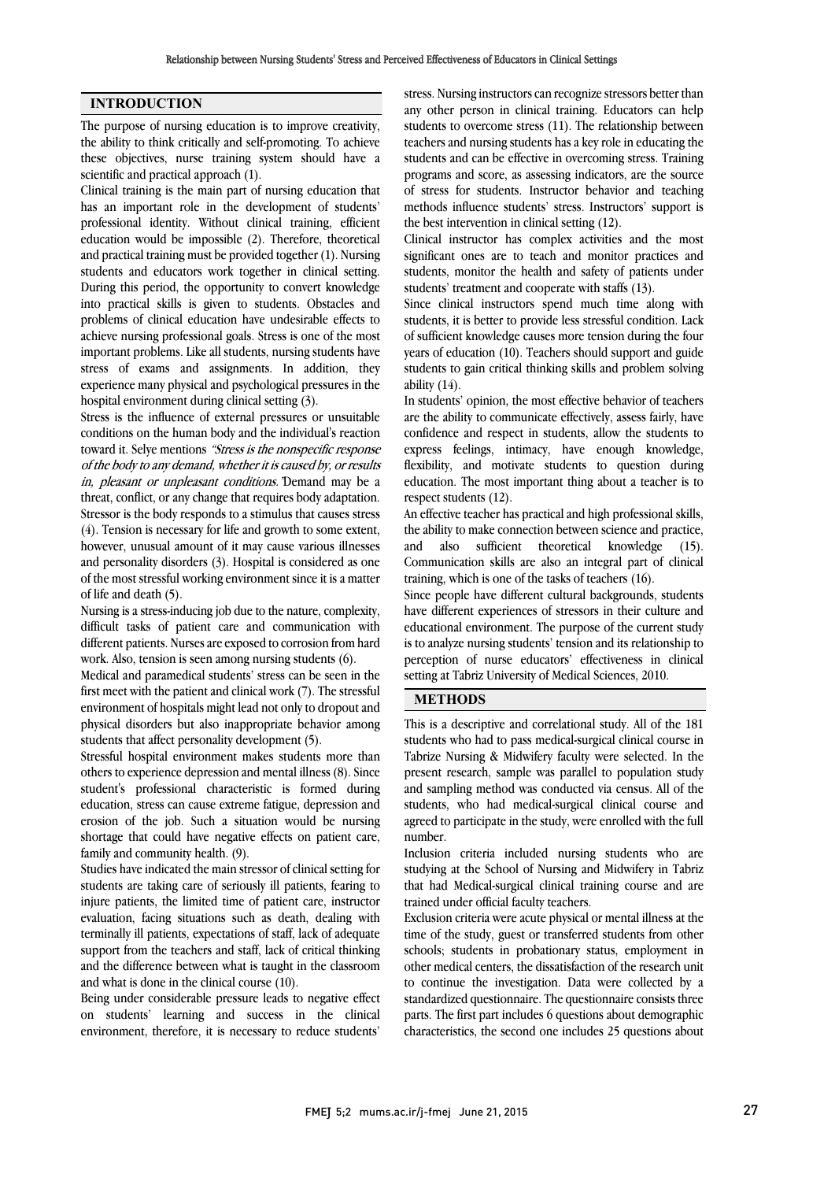### INTRODUCTION

The purpose of nursing education is to improve creativity, the ability to think critically and self-promoting. To achieve these objectives, nurse training system should have a scientific and practical approach (1).

Clinical training is the main part of nursing education that has an important role in the development of students' professional identity. Without clinical training, efficient education would be impossible (2). Therefore, theoretical and practical training must be provided together (1). Nursing students and educators work together in clinical setting. During this period, the opportunity to convert knowledge into practical skills is given to students. Obstacles and problems of clinical education have undesirable effects to achieve nursing professional goals. Stress is one of the most important problems. Like all students, nursing students have stress of exams and assignments. In addition, they experience many physical and psychological pressures in the hospital environment during clinical setting (3).

Stress is the influence of external pressures or unsuitable conditions on the human body and the individual's reaction toward it. Selye mentions "Stress is the nonspecific response of the body to any demand, whether it is caused by, or results in, pleasant or unpleasant conditions."Demand may be a threat, conflict, or any change that requires body adaptation. Stressor is the body responds to a stimulus that causes stress (4). Tension is necessary for life and growth to some extent, however, unusual amount of it may cause various illnesses and personality disorders (3). Hospital is considered as one of the most stressful working environment since it is a matter of life and death (5).

Nursing is a stress-inducing job due to the nature, complexity, difficult tasks of patient care and communication with different patients. Nurses are exposed to corrosion from hard work. Also, tension is seen among nursing students (6).

Medical and paramedical students' stress can be seen in the first meet with the patient and clinical work (7). The stressful environment of hospitals might lead not only to dropout and physical disorders but also inappropriate behavior among students that affect personality development (5).

Stressful hospital environment makes students more than others to experience depression and mental illness (8). Since student's professional characteristic is formed during education, stress can cause extreme fatigue, depression and erosion of the job. Such a situation would be nursing shortage that could have negative effects on patient care, family and community health. (9).

Studies have indicated the main stressor of clinical setting for students are taking care of seriously ill patients, fearing to injure patients, the limited time of patient care, instructor evaluation, facing situations such as death, dealing with terminally ill patients, expectations of staff, lack of adequate support from the teachers and staff, lack of critical thinking and the difference between what is taught in the classroom and what is done in the clinical course (10).

Being under considerable pressure leads to negative effect on students' learning and success in the clinical environment, therefore, it is necessary to reduce students'

 stress. Nursing instructors can recognize stressors better than any other person in clinical training. Educators can help students to overcome stress (11). The relationship between students and can be effective in overcoming stress. Training programs and score, as assessing indicators, are the source of stress for students. Instructor behavior and teaching methods influence students' stress. Instructors' support is teachers and nursing students has a key role in educating the the best intervention in clinical setting (12).

Clinical instructor has complex activities and the most significant ones are to teach and monitor practices and students, monitor the health and safety of patients under students' treatment and cooperate with staffs (13).

 students, it is better to provide less stressful condition. Lack of sufficient knowledge causes more tension during the four years of education (10). Teachers should support and guide students to gain critical thinking skills and problem solving Since clinical instructors spend much time along with ability  $(14)$ .

 In students' opinion, the most effective behavior of teachers are the ability to communicate effectively, assess fairly, have confidence and respect in students, allow the students to express feelings, intimacy, have enough knowledge, education. The most important thing about a teacher is to respect students (12). flexibility, and motivate students to question during

 An effective teacher has practical and high professional skills, the ability to make connection between science and practice,  $\frac{1}{2}$ . Communication skills are also an integral part of clinical training, which is one of the tasks of teachers (16). and also sufficient theoretical knowledge (15).

 Since people have different cultural backgrounds, students have different experiences of stressors in their culture and is to analyze nursing students' tension and its relationship to perception of nurse educators' effectiveness in clinical setting at Tabriz University of Medical Sciences, 2010. educational environment. The purpose of the current study

## METHODS

 This is a descriptive and correlational study. All of the 181 students who had to pass medical-surgical clinical course in Tabrize Nursing & Midwifery faculty were selected. In the present research, sample was parallel to population study students, who had medical-surgical clinical course and agreed to participate in the study, were enrolled with the full number. and sampling method was conducted via census. All of the

 Inclusion criteria included nursing students who are that had Medical-surgical clinical training course and are trained under official faculty teachers. studying at the School of Nursing and Midwifery in Tabriz

 Exclusion criteria were acute physical or mental illness at the time of the study, guest or transferred students from other other medical centers, the dissatisfaction of the research unit to continue the investigation. Data were collected by a standardized questionnaire. The questionnaire consists three parts. The first part includes 6 questions about demographic characteristics, the second one includes 25 questions about schools; students in probationary status, employment in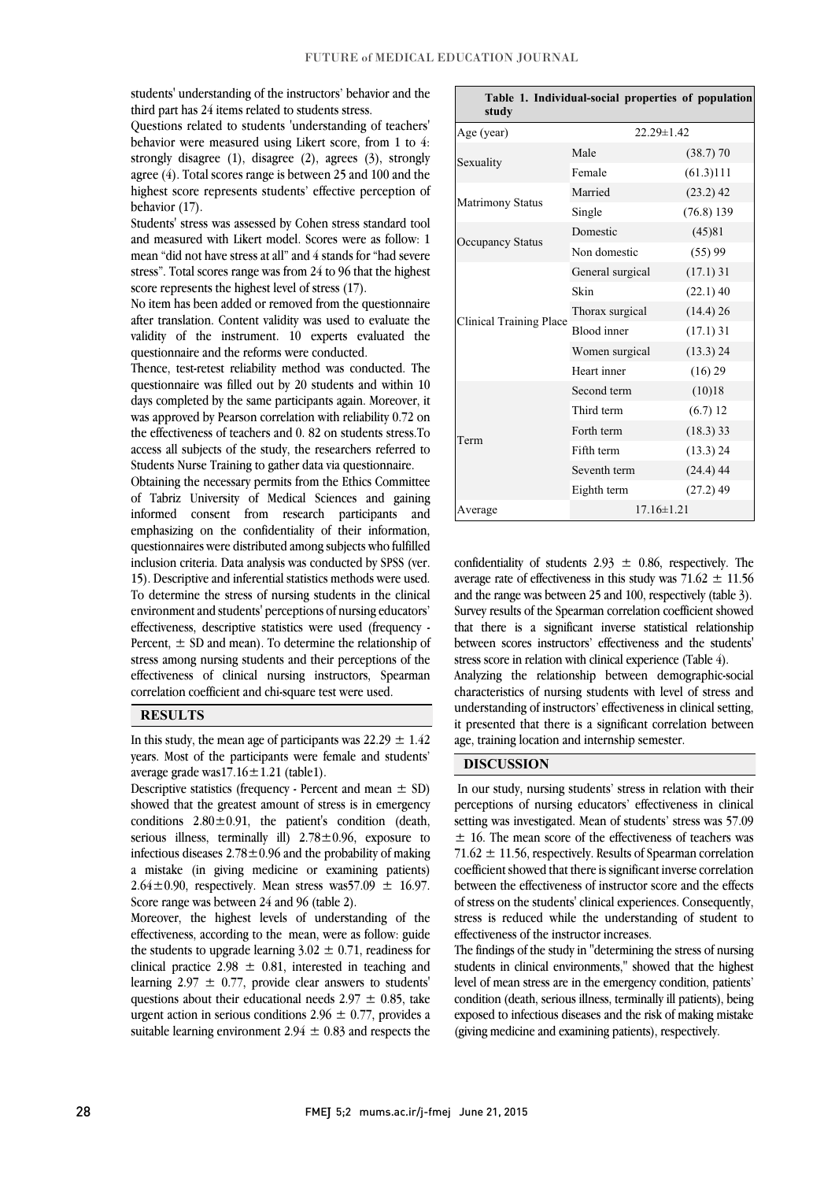students' understanding of the instructors' behavior and the third part has 24 items related to students stress.

 Questions related to students 'understanding of teachers' behavior were measured using Likert score, from 1 to 4: agree (4). Total scores range is between 25 and 100 and the highest score represents students' effective perception of strongly disagree (1), disagree (2), agrees (3), strongly behavior (17).

 and measured with Likert model. Scores were as follow: 1 mean "did not have stress at all" and 4 stands for "had severe stress". Total scores range was from 24 to 96 that the highest Students' stress was assessed by Cohen stress standard tool score represents the highest level of stress  $(17)$ .

after translation. Content validity was used to evaluate the validity of the instrument. 10 experts evaluated the No item has been added or removed from the questionnaire questionnaire and the reforms were conducted.

 Thence, test-retest reliability method was conducted. The days completed by the same participants again. Moreover, it was approved by Pearson correlation with reliability 0.72 on the effectiveness of teachers and 0. 82 on students stress.To access all subjects of the study, the researchers referred to questionnaire was filled out by 20 students and within 10 Students Nurse Training to gather data via questionnaire.

 Obtaining the necessary permits from the Ethics Committee of Tabriz University of Medical Sciences and gaining informed consent from research participants and emphasizing on the confidentiality of their information, inclusion criteria. Data analysis was conducted by SPSS (ver. 15). Descriptive and inferential statistics methods were used. To determine the stress of nursing students in the clinical environment and students' perceptions of nursing educators' Percent,  $\pm$  SD and mean). To determine the relationship of stress among nursing students and their perceptions of the effectiveness of clinical nursing instructors, Spearman correlation coefficient and chi-square test were used. questionnaires were distributed among subjects who fulfilled effectiveness, descriptive statistics were used (frequency -

#### RESULTS

In this study, the mean age of participants was  $22.29 \pm 1.42$  years. Most of the participants were female and students' average grade was17.16 $\pm$ 1.21 (table1).

showed that the greatest amount of stress is in emergency conditions  $2.80 \pm 0.91$ , the patient's condition (death, serious illness, terminally ill) 2.78 ± 0.96, exposure to infectious diseases  $2.78 \pm 0.96$  and the probability of making  $2.64 \pm 0.90$ , respectively. Mean stress was57.09  $\pm$  16.97. Descriptive statistics (frequency - Percent and mean  $\pm$  SD) a mistake (in giving medicine or examining patients) Score range was between 24 and 96 (table 2).

 Moreover, the highest levels of understanding of the effectiveness, according to the mean, were as follow: guide clinical practice 2.98  $\pm$  0.81, interested in teaching and learning  $2.97 \pm 0.77$ , provide clear answers to students' questions about their educational needs  $2.97 \pm 0.85$ , take urgent action in serious conditions  $2.96 \pm 0.77$ , provides a suitable learning environment  $2.94 \pm 0.83$  and respects the the students to upgrade learning  $3.02 \pm 0.71$ , readiness for

| Table 1. Individual-social properties of population<br>study |                  |             |  |  |
|--------------------------------------------------------------|------------------|-------------|--|--|
| Age (year)                                                   | $22.29 \pm 1.42$ |             |  |  |
| Sexuality                                                    | Male             | $(38.7)$ 70 |  |  |
|                                                              | Female           | (61.3)111   |  |  |
| Matrimony Status                                             | Married          | $(23.2)$ 42 |  |  |
|                                                              | Single           | (76.8) 139  |  |  |
| <b>Occupancy Status</b>                                      | Domestic         | (45)81      |  |  |
|                                                              | Non domestic     | (55)99      |  |  |
| <b>Clinical Training Place</b>                               | General surgical | $(17.1)$ 31 |  |  |
|                                                              | Skin             | $(22.1)$ 40 |  |  |
|                                                              | Thorax surgical  | (14.4) 26   |  |  |
|                                                              | Blood inner      | $(17.1)$ 31 |  |  |
|                                                              | Women surgical   | $(13.3)$ 24 |  |  |
|                                                              | Heart inner      | (16) 29     |  |  |
| Term                                                         | Second term      | (10)18      |  |  |
|                                                              | Third term       | (6.7) 12    |  |  |
|                                                              | Forth term       | $(18.3)$ 33 |  |  |
|                                                              | Fifth term       | (13.3) 24   |  |  |
|                                                              | Seventh term     | $(24.4)$ 44 |  |  |
|                                                              | Eighth term      | $(27.2)$ 49 |  |  |
| Average                                                      | $17.16 \pm 1.21$ |             |  |  |

confidentiality of students  $2.93 \pm 0.86$ , respectively. The average rate of effectiveness in this study was  $71.62 \pm 11.56$  and the range was between 25 and 100, respectively (table 3). Survey results of the Spearman correlation coefficient showed between scores instructors' effectiveness and the students' stress score in relation with clinical experience (Table 4). that there is a significant inverse statistical relationship

 Analyzing the relationship between demographic-social characteristics of nursing students with level of stress and it presented that there is a significant correlation between understanding of instructors' effectiveness in clinical setting, age, training location and internship semester.

i

## DISCUSSION

I perceptions of nursing educators' effectiveness in clinical setting was investigated. Mean of students' stress was 57.09 ± 16. The mean score of the effectiveness of teachers was 71.62 ± 11.56, respectively. Results of Spearman correlation between the effectiveness of instructor score and the effects of stress on the students' clinical experiences. Consequently, stress is reduced while the understanding of student to In our study, nursing students' stress in relation with their coefficient showed that there is significant inverse correlation effectiveness of the instructor increases.

enecuveness or the instructor increases.<br>The findings of the study in "determining the stress of nursing students in clinical environments," showed that the highest level of mean stress are in the emergency condition, patients' condition (death, serious illness, terminally ill patients), being exposed to infectious diseases and the risk of making mistake (giving medicine and examining patients), respectively.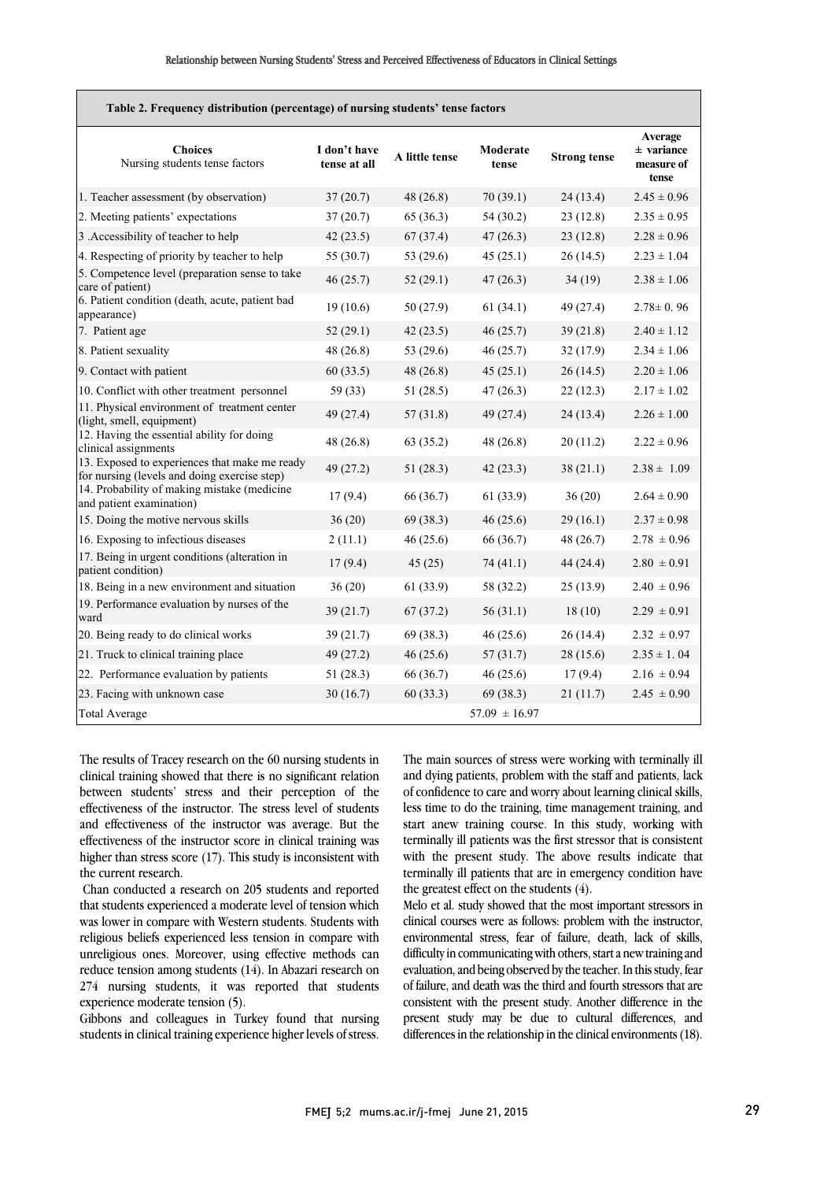| Table 2. Frequency distribution (percentage) of nursing students' tense factors               |                              |                |                   |                     |                                                |
|-----------------------------------------------------------------------------------------------|------------------------------|----------------|-------------------|---------------------|------------------------------------------------|
| <b>Choices</b><br>Nursing students tense factors                                              | I don't have<br>tense at all | A little tense | Moderate<br>tense | <b>Strong tense</b> | Average<br>$±$ variance<br>measure of<br>tense |
| 1. Teacher assessment (by observation)                                                        | 37(20.7)                     | 48 (26.8)      | 70(39.1)          | 24(13.4)            | $2.45 \pm 0.96$                                |
| 2. Meeting patients' expectations                                                             | 37(20.7)                     | 65(36.3)       | 54 (30.2)         | 23(12.8)            | $2.35 \pm 0.95$                                |
| 3 .Accessibility of teacher to help                                                           | 42(23.5)                     | 67(37.4)       | 47(26.3)          | 23(12.8)            | $2.28 \pm 0.96$                                |
| 4. Respecting of priority by teacher to help                                                  | 55 (30.7)                    | 53 (29.6)      | 45(25.1)          | 26(14.5)            | $2.23 \pm 1.04$                                |
| 5. Competence level (preparation sense to take<br>care of patient)                            | 46(25.7)                     | 52(29.1)       | 47(26.3)          | 34(19)              | $2.38 \pm 1.06$                                |
| 6. Patient condition (death, acute, patient bad<br>appearance)                                | 19(10.6)                     | 50(27.9)       | 61(34.1)          | 49 (27.4)           | $2.78 \pm 0.96$                                |
| 7. Patient age                                                                                | 52(29.1)                     | 42(23.5)       | 46(25.7)          | 39(21.8)            | $2.40 \pm 1.12$                                |
| 8. Patient sexuality                                                                          | 48(26.8)                     | 53 $(29.6)$    | 46(25.7)          | 32(17.9)            | $2.34 \pm 1.06$                                |
| 9. Contact with patient                                                                       | 60(33.5)                     | 48(26.8)       | 45(25.1)          | 26(14.5)            | $2.20 \pm 1.06$                                |
| 10. Conflict with other treatment personnel                                                   | 59 (33)                      | 51 (28.5)      | 47(26.3)          | 22(12.3)            | $2.17 \pm 1.02$                                |
| 11. Physical environment of treatment center<br>(light, smell, equipment)                     | 49(27.4)                     | 57(31.8)       | 49 (27.4)         | 24(13.4)            | $2.26 \pm 1.00$                                |
| 12. Having the essential ability for doing<br>clinical assignments                            | 48(26.8)                     | 63(35.2)       | 48 (26.8)         | 20(11.2)            | $2.22 \pm 0.96$                                |
| 13. Exposed to experiences that make me ready<br>for nursing (levels and doing exercise step) | 49(27.2)                     | 51(28.3)       | 42(23.3)          | 38(21.1)            | $2.38 \pm 1.09$                                |
| 14. Probability of making mistake (medicine<br>and patient examination)                       | 17(9.4)                      | 66 (36.7)      | 61 (33.9)         | 36(20)              | $2.64 \pm 0.90$                                |
| 15. Doing the motive nervous skills                                                           | 36(20)                       | 69 (38.3)      | 46(25.6)          | 29(16.1)            | $2.37 \pm 0.98$                                |
| 16. Exposing to infectious diseases                                                           | 2(11.1)                      | 46 (25.6)      | 66 (36.7)         | 48 (26.7)           | $2.78 \pm 0.96$                                |
| 17. Being in urgent conditions (alteration in<br>patient condition)                           | 17(9.4)                      | 45(25)         | 74(41.1)          | 44(24.4)            | $2.80 \pm 0.91$                                |
| 18. Being in a new environment and situation                                                  | 36(20)                       | 61 (33.9)      | 58 (32.2)         | 25(13.9)            | $2.40 \pm 0.96$                                |
| 19. Performance evaluation by nurses of the<br>ward                                           | 39(21.7)                     | 67(37.2)       | 56(31.1)          | 18(10)              | $2.29 \pm 0.91$                                |
| 20. Being ready to do clinical works                                                          | 39 (21.7)                    | 69 (38.3)      | 46(25.6)          | 26(14.4)            | $2.32 \pm 0.97$                                |
| 21. Truck to clinical training place                                                          | 49 (27.2)                    | 46(25.6)       | 57(31.7)          | 28 (15.6)           | $2.35 \pm 1.04$                                |
| 22. Performance evaluation by patients                                                        | 51(28.3)                     | 66 (36.7)      | 46(25.6)          | 17(9.4)             | $2.16 \pm 0.94$                                |
| 23. Facing with unknown case                                                                  | 30(16.7)                     | 60(33.3)       | 69 (38.3)         | 21(11.7)            | $2.45 \pm 0.90$                                |
| <b>Total Average</b>                                                                          |                              |                | $57.09 \pm 16.97$ |                     |                                                |

The results of Tracey research on the 60 nursing students in clinical training showed that there is no significant relation between students' stress and their perception of the effectiveness of the instructor. The stress level of students and effectiveness of the instructor was average. But the effectiveness of the instructor score in clinical training was higher than stress score (17). This study is inconsistent with the current research.

Chan conducted a research on 205 students and reported that students experienced a moderate level of tension which was lower in compare with Western students. Students with religious beliefs experienced less tension in compare with unreligious ones. Moreover, using effective methods can reduce tension among students (14). In Abazari research on 274 nursing students, it was reported that students experience moderate tension (5).

Gibbons and colleagues in Turkey found that nursing students in clinical training experience higher levels of stress.

 The main sources of stress were working with terminally ill and dying patients, problem with the staff and patients, lack of confidence to care and worry about learning clinical skills, start anew training course. In this study, working with terminally ill patients was the first stressor that is consistent with the present study. The above results indicate that terminally ill patients that are in emergency condition have less time to do the training, time management training, and the greatest effect on the students (4).

 $M$ elo et al. study showed that the most important stressors in clinical courses were as follows: problem with the instructor, environmental stress, fear of failure, death, lack of skills, difficulty in communicating with others, start a new training and of failure, and death was the third and fourth stressors that are consistent with the present study. Another difference in the present study may be due to cultural differences, and differences in the relationship in the clinical environments (18). evaluation, and being observed by the teacher. In this study, fear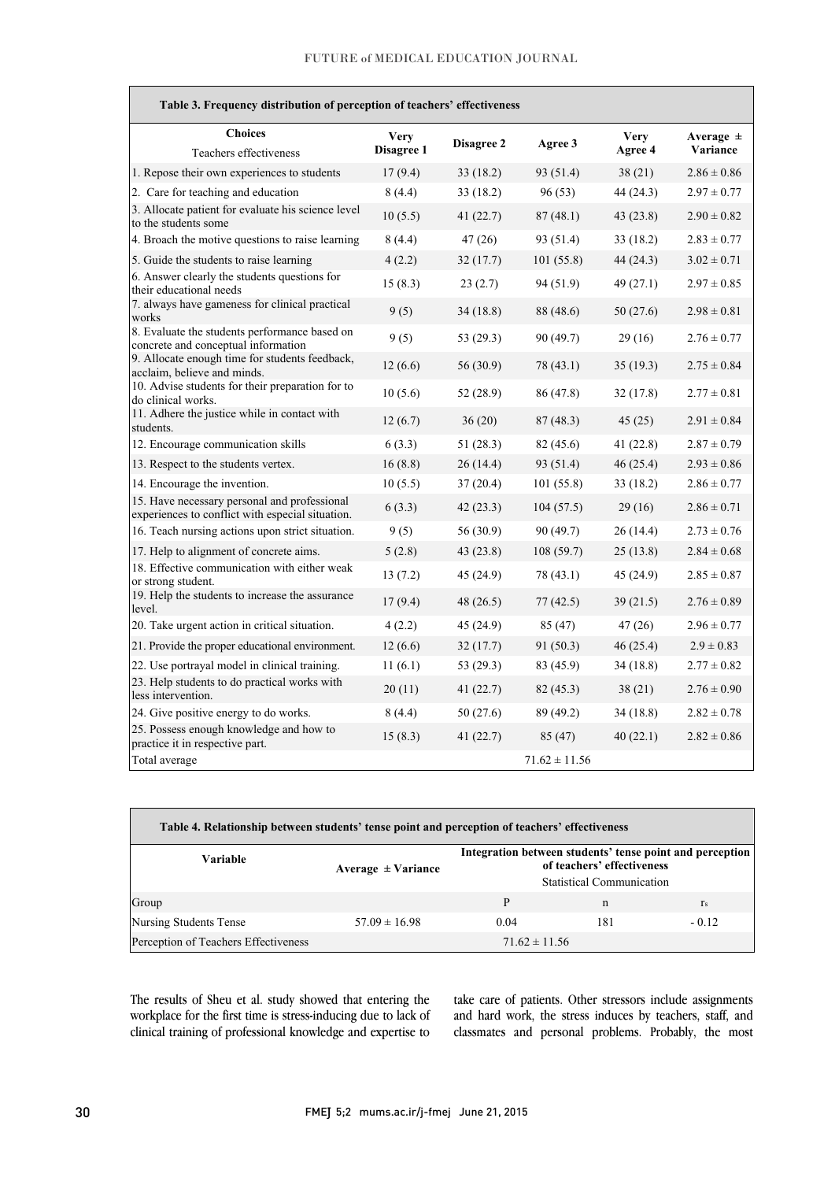| Table 3. Frequency distribution of perception of teachers' effectiveness                         |                           |             |                   |                        |                           |
|--------------------------------------------------------------------------------------------------|---------------------------|-------------|-------------------|------------------------|---------------------------|
| <b>Choices</b><br>Teachers effectiveness                                                         | <b>Very</b><br>Disagree 1 | Disagree 2  | Agree 3           | <b>Very</b><br>Agree 4 | Average $\pm$<br>Variance |
| 1. Repose their own experiences to students                                                      | 17(9.4)                   | 33 (18.2)   | 93 (51.4)         | 38(21)                 | $2.86 \pm 0.86$           |
| 2. Care for teaching and education                                                               | 8(4.4)                    | 33 (18.2)   | 96(53)            | 44 (24.3)              | $2.97 \pm 0.77$           |
| 3. Allocate patient for evaluate his science level<br>to the students some                       | 10(5.5)                   | 41 (22.7)   | 87(48.1)          | 43 (23.8)              | $2.90 \pm 0.82$           |
| 4. Broach the motive questions to raise learning                                                 | 8(4.4)                    | 47(26)      | 93 (51.4)         | 33(18.2)               | $2.83 \pm 0.77$           |
| 5. Guide the students to raise learning                                                          | 4(2.2)                    | 32(17.7)    | 101(55.8)         | 44 (24.3)              | $3.02 \pm 0.71$           |
| 6. Answer clearly the students questions for<br>their educational needs                          | 15(8.3)                   | 23(2.7)     | 94 (51.9)         | 49 (27.1)              | $2.97 \pm 0.85$           |
| 7. always have gameness for clinical practical<br>works                                          | 9(5)                      | 34(18.8)    | 88 (48.6)         | 50 (27.6)              | $2.98 \pm 0.81$           |
| 8. Evaluate the students performance based on<br>concrete and conceptual information             | 9(5)                      | 53 (29.3)   | 90 (49.7)         | 29(16)                 | $2.76 \pm 0.77$           |
| 9. Allocate enough time for students feedback,<br>acclaim, believe and minds.                    | 12(6.6)                   | 56 (30.9)   | 78 (43.1)         | 35(19.3)               | $2.75 \pm 0.84$           |
| 10. Advise students for their preparation for to<br>do clinical works.                           | 10(5.6)                   | 52 (28.9)   | 86 (47.8)         | 32(17.8)               | $2.77 \pm 0.81$           |
| 11. Adhere the justice while in contact with<br>students.                                        | 12(6.7)                   | 36(20)      | 87(48.3)          | 45(25)                 | $2.91 \pm 0.84$           |
| 12. Encourage communication skills                                                               | 6(3.3)                    | 51(28.3)    | 82 (45.6)         | 41(22.8)               | $2.87 \pm 0.79$           |
| 13. Respect to the students vertex.                                                              | 16(8.8)                   | 26(14.4)    | 93 (51.4)         | 46 (25.4)              | $2.93 \pm 0.86$           |
| 14. Encourage the invention.                                                                     | 10(5.5)                   | 37(20.4)    | 101 (55.8)        | 33 (18.2)              | $2.86 \pm 0.77$           |
| 15. Have necessary personal and professional<br>experiences to conflict with especial situation. | 6(3.3)                    | 42(23.3)    | 104(57.5)         | 29(16)                 | $2.86 \pm 0.71$           |
| 16. Teach nursing actions upon strict situation.                                                 | 9(5)                      | 56 (30.9)   | 90 (49.7)         | 26(14.4)               | $2.73 \pm 0.76$           |
| 17. Help to alignment of concrete aims.                                                          | 5(2.8)                    | 43 (23.8)   | 108 (59.7)        | 25(13.8)               | $2.84 \pm 0.68$           |
| 18. Effective communication with either weak<br>or strong student.                               | 13(7.2)                   | 45 (24.9)   | 78 (43.1)         | 45(24.9)               | $2.85 \pm 0.87$           |
| 19. Help the students to increase the assurance<br>level.                                        | 17(9.4)                   | 48 (26.5)   | 77(42.5)          | 39(21.5)               | $2.76 \pm 0.89$           |
| 20. Take urgent action in critical situation.                                                    | 4(2.2)                    | 45 (24.9)   | 85(47)            | 47(26)                 | $2.96 \pm 0.77$           |
| 21. Provide the proper educational environment.                                                  | 12(6.6)                   | 32(17.7)    | 91 (50.3)         | 46(25.4)               | $2.9 \pm 0.83$            |
| 22. Use portrayal model in clinical training.                                                    | 11(6.1)                   | 53 (29.3)   | 83 (45.9)         | 34(18.8)               | $2.77 \pm 0.82$           |
| 23. Help students to do practical works with<br>less intervention.                               | 20(11)                    | 41 (22.7)   | 82 (45.3)         | 38(21)                 | $2.76 \pm 0.90$           |
| 24. Give positive energy to do works.                                                            | 8(4.4)                    | 50 (27.6)   | 89 (49.2)         | 34 (18.8)              | $2.82 \pm 0.78$           |
| 25. Possess enough knowledge and how to<br>practice it in respective part.                       | 15(8.3)                   | 41 $(22.7)$ | 85 (47)           | 40(22.1)               | $2.82 \pm 0.86$           |
| Total average                                                                                    |                           |             | $71.62 \pm 11.56$ |                        |                           |

| Table 4. Relationship between students' tense point and perception of teachers' effectiveness |                        |                                                                                                                            |     |         |  |
|-----------------------------------------------------------------------------------------------|------------------------|----------------------------------------------------------------------------------------------------------------------------|-----|---------|--|
| Variable                                                                                      | Average $\pm$ Variance | Integration between students' tense point and perception<br>of teachers' effectiveness<br><b>Statistical Communication</b> |     |         |  |
| Group                                                                                         |                        | P                                                                                                                          | n   | $r_s$   |  |
| <b>Nursing Students Tense</b>                                                                 | $57.09 \pm 16.98$      | 0.04                                                                                                                       | 181 | $-0.12$ |  |
| Perception of Teachers Effectiveness                                                          |                        | $71.62 \pm 11.56$                                                                                                          |     |         |  |

 The results of Sheu et al. study showed that entering the workplace for the first time is stress-inducing due to lack of clinical training of professional knowledge and expertise to

 take care of patients. Other stressors include assignments and hard work, the stress induces by teachers, staff, and classmates and personal problems. Probably, the most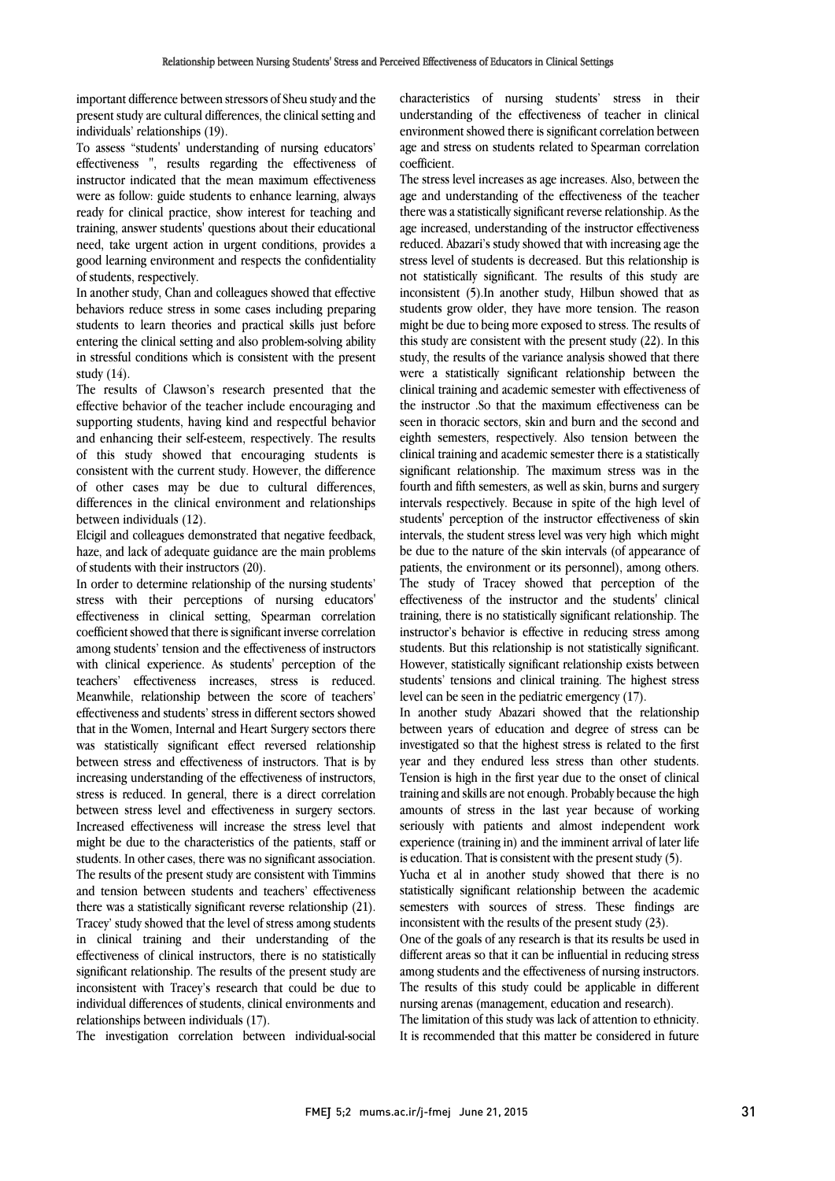important difference between stressors of Sheu study and the present study are cultural differences, the clinical setting and individuals' relationships (19).

To assess "students' understanding of nursing educators' effectiveness ", results regarding the effectiveness of instructor indicated that the mean maximum effectiveness were as follow: guide students to enhance learning, always ready for clinical practice, show interest for teaching and training, answer students' questions about their educational need, take urgent action in urgent conditions, provides a good learning environment and respects the confidentiality of students, respectively.

In another study, Chan and colleagues showed that effective behaviors reduce stress in some cases including preparing students to learn theories and practical skills just before entering the clinical setting and also problem-solving ability in stressful conditions which is consistent with the present study (14).

The results of Clawson's research presented that the effective behavior of the teacher include encouraging and supporting students, having kind and respectful behavior and enhancing their self-esteem, respectively. The results of this study showed that encouraging students is consistent with the current study. However, the difference of other cases may be due to cultural differences, differences in the clinical environment and relationships between individuals (12).

Elcigil and colleagues demonstrated that negative feedback, haze, and lack of adequate guidance are the main problems of students with their instructors (20).

In order to determine relationship of the nursing students' stress with their perceptions of nursing educators' effectiveness in clinical setting, Spearman correlation coefficient showed that there is significant inverse correlation among students' tension and the effectiveness of instructors with clinical experience. As students' perception of the teachers' effectiveness increases, stress is reduced. Meanwhile, relationship between the score of teachers' effectiveness and students' stress in different sectors showed that in the Women, Internal and Heart Surgery sectors there was statistically significant effect reversed relationship between stress and effectiveness of instructors. That is by increasing understanding of the effectiveness of instructors, stress is reduced. In general, there is a direct correlation between stress level and effectiveness in surgery sectors. Increased effectiveness will increase the stress level that might be due to the characteristics of the patients, staff or students. In other cases, there was no significant association. The results of the present study are consistent with Timmins and tension between students and teachers' effectiveness there was a statistically significant reverse relationship (21). Tracey' study showed that the level of stress among students in clinical training and their understanding of the effectiveness of clinical instructors, there is no statistically significant relationship. The results of the present study are inconsistent with Tracey's research that could be due to individual differences of students, clinical environments and relationships between individuals (17).

The investigation correlation between individual-social

 characteristics of nursing students' stress in their understanding of the effectiveness of teacher in clinical environment showed there is significant correlation between age and stress on students related to Spearman correlation coefficient.

age and understanding of the effectiveness of the teacher there was a statistically significant reverse relationship. As the age increased, understanding of the instructor effectiveness stress level of students is decreased. But this relationship is not statistically significant. The results of this study are inconsistent (5).In another study, Hilbun showed that as students grow older, they have more tension. The reason this study are consistent with the present study (22). In this study, the results of the variance analysis showed that there were a statistically significant relationship between the clinical training and academic semester with effectiveness of seen in thoracic sectors, skin and burn and the second and eighth semesters, respectively. Also tension between the clinical training and academic semester there is a statistically significant relationship. The maximum stress was in the intervals respectively. Because in spite of the high level of students' perception of the instructor effectiveness of skin intervals, the student stress level was very high which might be due to the nature of the skin intervals (of appearance of patients, the environment of its personnel), among others.<br>The study of Tracey showed that perception of the effectiveness of the instructor and the students' clinical training, there is no statistically significant relationship. The instructor's behavior is effective in reducing stress among students. But this relationship is not statistically significant. students' tensions and clinical training. The highest stress level can be seen in the pediatric emergency (17). The stress level increases as age increases. Also, between the reduced. Abazari's study showed that with increasing age the might be due to being more exposed to stress. The results of the instructor .So that the maximum effectiveness can be fourth and fifth semesters, as well as skin, burns and surgery patients, the environment or its personnel), among others. However, statistically significant relationship exists between

 In another study Abazari showed that the relationship investigated so that the highest stress is related to the first year and they endured less stress than other students. Tension is high in the first year due to the onset of clinical training and skills are not enough. Probably because the high seriously with patients and almost independent work experience (training in) and the imminent arrival of later life is education. That is consistent with the present study (5). between years of education and degree of stress can be amounts of stress in the last year because of working

 Yucha et al in another study showed that there is no semesters with sources of stress. These findings are inconsistent with the results of the present study (23). statistically significant relationship between the academic

 One of the goals of any research is that its results be used in different areas so that it can be influential in reducing stress alliong statents and the encellveness of harsing instructors.<br>The results of this study could be applicable in different nursing arenas (management, education and research). among students and the effectiveness of nursing instructors.

 The limitation of this study was lack of attention to ethnicity. It is recommended that this matter be considered in future